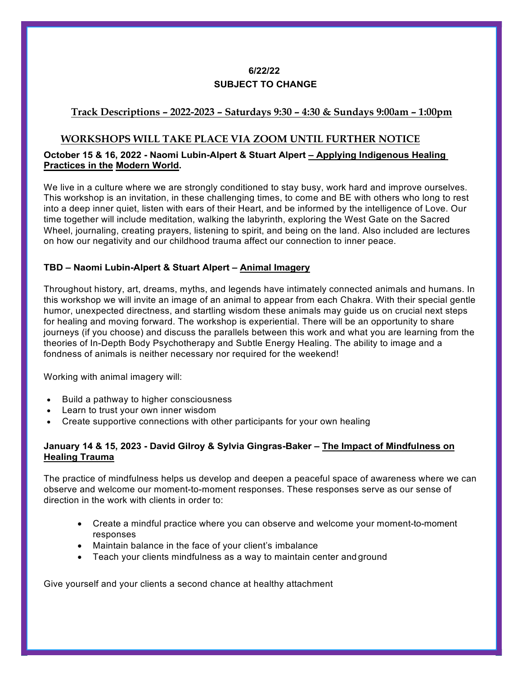# **6/22/22 SUBJECT TO CHANGE**

## **Track Descriptions – 2022-2023 – Saturdays 9:30 – 4:30 & Sundays 9:00am – 1:00pm**

## **WORKSHOPS WILL TAKE PLACE VIA ZOOM UNTIL FURTHER NOTICE**

## **October 15 & 16, 2022 - Naomi Lubin-Alpert & Stuart Alpert – Applying Indigenous Healing Practices in the Modern World.**

We live in a culture where we are strongly conditioned to stay busy, work hard and improve ourselves. This workshop is an invitation, in these challenging times, to come and BE with others who long to rest into a deep inner quiet, listen with ears of their Heart, and be informed by the intelligence of Love. Our time together will include meditation, walking the labyrinth, exploring the West Gate on the Sacred Wheel, journaling, creating prayers, listening to spirit, and being on the land. Also included are lectures on how our negativity and our childhood trauma affect our connection to inner peace.

#### **TBD – Naomi Lubin-Alpert & Stuart Alpert – Animal Imagery**

Throughout history, art, dreams, myths, and legends have intimately connected animals and humans. In this workshop we will invite an image of an animal to appear from each Chakra. With their special gentle humor, unexpected directness, and startling wisdom these animals may guide us on crucial next steps for healing and moving forward. The workshop is experiential. There will be an opportunity to share journeys (if you choose) and discuss the parallels between this work and what you are learning from the theories of In-Depth Body Psychotherapy and Subtle Energy Healing. The ability to image and a fondness of animals is neither necessary nor required for the weekend!

Working with animal imagery will:

- Build a pathway to higher consciousness
- Learn to trust your own inner wisdom
- Create supportive connections with other participants for your own healing

## **January 14 & 15, 2023 - David Gilroy & Sylvia Gingras-Baker – The Impact of Mindfulness on Healing Trauma**

The practice of mindfulness helps us develop and deepen a peaceful space of awareness where we can observe and welcome our moment-to-moment responses. These responses serve as our sense of direction in the work with clients in order to:

- Create a mindful practice where you can observe and welcome your moment-to-moment responses
- Maintain balance in the face of your client's imbalance
- Teach your clients mindfulness as a way to maintain center and ground

Give yourself and your clients a second chance at healthy attachment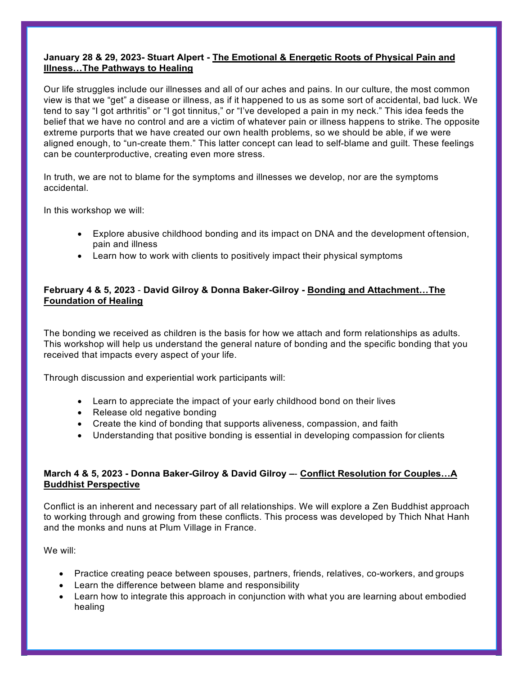#### **January 28 & 29, 2023- Stuart Alpert - The Emotional & Energetic Roots of Physical Pain and Illness…The Pathways to Healing**

Our life struggles include our illnesses and all of our aches and pains. In our culture, the most common view is that we "get" a disease or illness, as if it happened to us as some sort of accidental, bad luck. We tend to say "I got arthritis" or "I got tinnitus," or "I've developed a pain in my neck." This idea feeds the belief that we have no control and are a victim of whatever pain or illness happens to strike. The opposite extreme purports that we have created our own health problems, so we should be able, if we were aligned enough, to "un-create them." This latter concept can lead to self-blame and guilt. These feelings can be counterproductive, creating even more stress.

In truth, we are not to blame for the symptoms and illnesses we develop, nor are the symptoms accidental.

In this workshop we will:

- Explore abusive childhood bonding and its impact on DNA and the development oftension, pain and illness
- Learn how to work with clients to positively impact their physical symptoms

## **February 4 & 5, 2023** - **David Gilroy & Donna Baker-Gilroy - Bonding and Attachment…The Foundation of Healing**

The bonding we received as children is the basis for how we attach and form relationships as adults. This workshop will help us understand the general nature of bonding and the specific bonding that you received that impacts every aspect of your life.

Through discussion and experiential work participants will:

- Learn to appreciate the impact of your early childhood bond on their lives
- Release old negative bonding
- Create the kind of bonding that supports aliveness, compassion, and faith
- Understanding that positive bonding is essential in developing compassion for clients

## **March 4 & 5, 2023 - Donna Baker-Gilroy & David Gilroy –**- **Conflict Resolution for Couples…A Buddhist Perspective**

Conflict is an inherent and necessary part of all relationships. We will explore a Zen Buddhist approach to working through and growing from these conflicts. This process was developed by Thich Nhat Hanh and the monks and nuns at Plum Village in France.

We will:

- Practice creating peace between spouses, partners, friends, relatives, co-workers, and groups
- Learn the difference between blame and responsibility
- Learn how to integrate this approach in conjunction with what you are learning about embodied healing